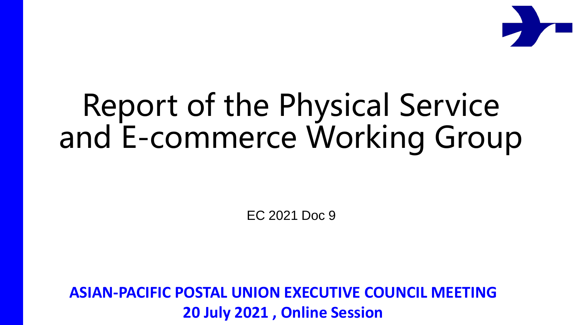

## Report of the Physical Service and E-commerce Working Group

EC 2021 Doc 9

**ASIAN-PACIFIC POSTAL UNION EXECUTIVE COUNCIL MEETING 20 July 2021 , Online Session**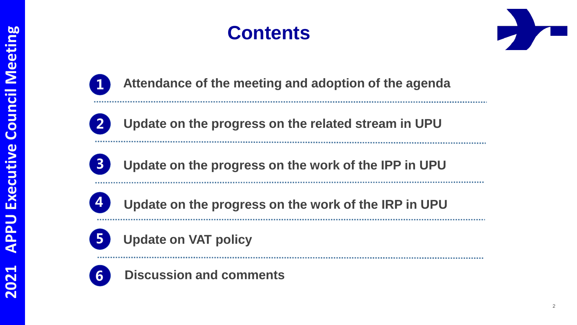



**Attendance of the meeting and adoption of the agenda**



**Update on the progress on the related stream in UPU**



**Update on the progress on the work of the IPP in UPU**



**Update on the progress on the work of the IRP in UPUa**





**Discussion and comments**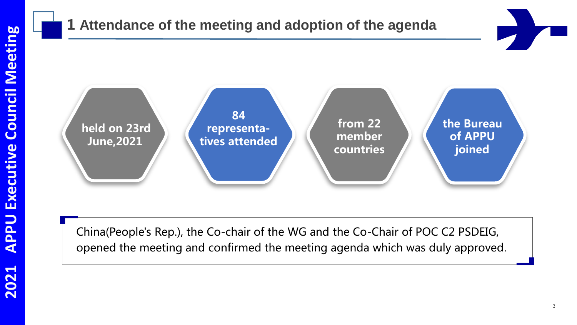#### **1 Attendance of the meeting and adoption of the agenda**



China(People's Rep.), the Co-chair of the WG and the Co-Chair of POC C2 PSDEIG, opened the meeting and confirmed the meeting agenda which was duly approved.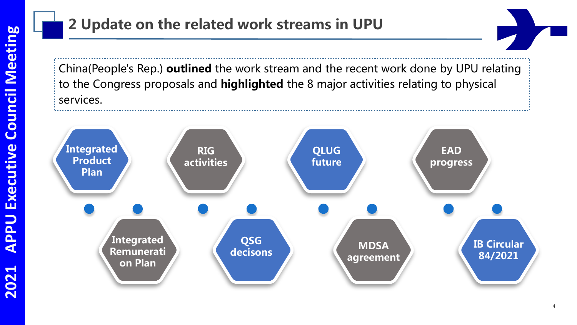#### **2 Update on the related work streams in UPU**

China(People's Rep.) **outlined** the work stream and the recent work done by UPU relating to the Congress proposals and **highlighted** the 8 major activities relating to physical services.

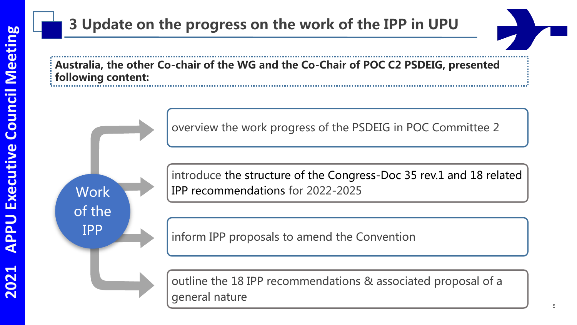**Work** 

of the

IPP

### **3 Update on the progress on the work of the IPP in UPU**

**Australia, the other Co-chair of the WG and the Co-Chair of POC C2 PSDEIG, presented following content:**

overview the work progress of the PSDEIG in POC Committee 2

introduce the structure of the Congress-Doc 35 rev.1 and 18 related IPP recommendations for 2022-2025

inform IPP proposals to amend the Convention

outline the 18 IPP recommendations & associated proposal of a general nature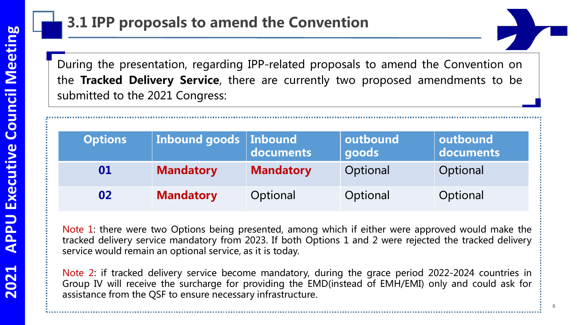#### **3.1 IPP proposals to amend the Convention**

During the presentation, regarding IPP-related proposals to amend the Convention on the **Tracked Delivery Service**, there are currently two proposed amendments to be submitted to the 2021 Congress:

| <b>Options</b> | Inbound goods   Inbound | documents        | outbound<br>goods | outbound<br>$\vert$ documents |
|----------------|-------------------------|------------------|-------------------|-------------------------------|
| 01             | <b>Mandatory</b>        | <b>Mandatory</b> | Optional          | Optional                      |
| 02             | <b>Mandatory</b>        | Optional         | Optional          | Optional                      |

Note 1: there were two Options being presented, among which if either were approved would make the tracked delivery service mandatory from 2023. If both Options 1 and 2 were rejected the tracked delivery service would remain an optional service, as it is today.

Note 2: if tracked delivery service become mandatory, during the grace period 2022-2024 countries in Group IV will receive the surcharge for providing the EMD(instead of EMH/EMI) only and could ask for assistance from the QSF to ensure necessary infrastructure.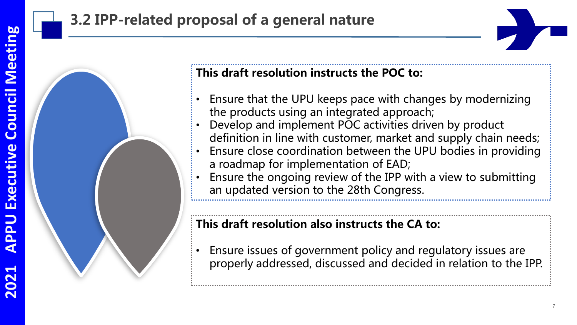## **3.2 IPP-related proposal of a general nature**





#### **This draft resolution instructs the POC to:**

- Ensure that the UPU keeps pace with changes by modernizing the products using an integrated approach;
- Develop and implement POC activities driven by product definition in line with customer, market and supply chain needs;
- Ensure close coordination between the UPU bodies in providing a roadmap for implementation of EAD;
- Ensure the ongoing review of the IPP with a view to submitting an updated version to the 28th Congress.

#### **This draft resolution also instructs the CA to:**

• Ensure issues of government policy and regulatory issues are properly addressed, discussed and decided in relation to the IPP.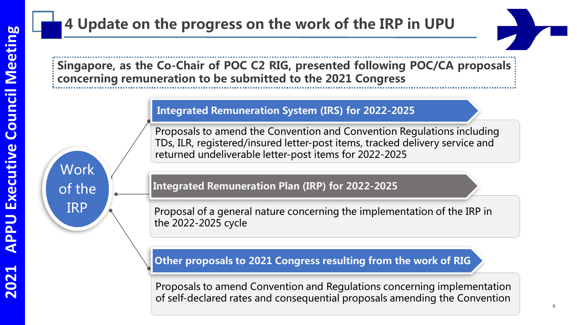**Work** 

of the

IRP

### **4 Update on the progress on the work of the IRP in UPU**

**Singapore, as the Co-Chair of POC C2 RIG, presented following POC/CA proposals concerning remuneration to be submitted to the 2021 Congress**

#### **Integrated Remuneration System (IRS) for 2022-2025**

Proposals to amend the Convention and Convention Regulations including TDs, ILR, registered/insured letter-post items, tracked delivery service and returned undeliverable letter-post items for 2022-2025

**Integrated Remuneration Plan (IRP) for 2022-2025**

Proposal of a general nature concerning the implementation of the IRP in the 2022-2025 cycle

#### **Other proposals to 2021 Congress resulting from the work of RIG**

Proposals to amend Convention and Regulations concerning implementation of self-declared rates and consequential proposals amending the Convention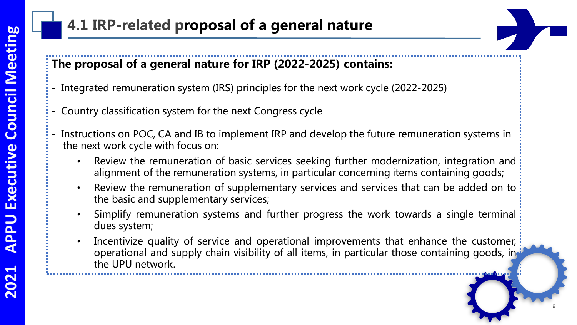### **4.1 IRP-related proposal of a general nature**

#### **The proposal of a general nature for IRP (2022-2025) contains:**

- Integrated remuneration system (IRS) principles for the next work cycle (2022-2025)
- Country classification system for the next Congress cycle
- Instructions on POC, CA and IB to implement IRP and develop the future remuneration systems in the next work cycle with focus on:
	- Review the remuneration of basic services seeking further modernization, integration and alignment of the remuneration systems, in particular concerning items containing goods;
	- Review the remuneration of supplementary services and services that can be added on to the basic and supplementary services;
	- Simplify remuneration systems and further progress the work towards a single terminal dues system;
	- Incentivize quality of service and operational improvements that enhance the customer, operational and supply chain visibility of all items, in particular those containing goods, in the UPU network.

9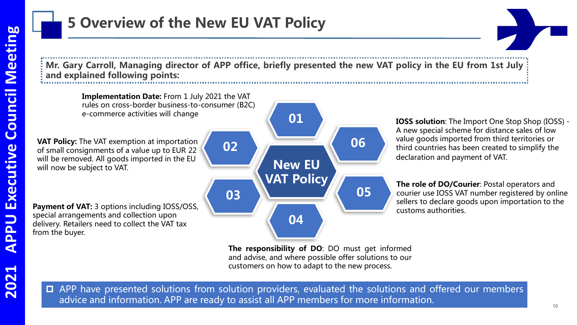Mr. Gary Carroll, Managing director of APP office, briefly presented the new VAT policy in the EU from 1st July **and explained following points:**

**01**

**New EU** 

**VAT Policy**

**03**

**02**

**04**

**Implementation Date:** From 1 July 2021 the VAT rules on cross-border business-to-consumer (B2C) e-commerce activities will change

**VAT Policy:** The VAT exemption at importation of small consignments of a value up to EUR 22 will be removed. All goods imported in the EU will now be subject to VAT.

**Payment of VAT:** 3 options including IOSS/OSS, special arrangements and collection upon delivery. Retailers need to collect the VAT tax from the buyer.

**IOSS solution**: The Import One Stop Shop (IOSS) - A new special scheme for distance sales of low value goods imported from third territories or third countries has been created to simplify the declaration and payment of VAT.

**The role of DO/Courier**: Postal operators and courier use IOSS VAT number registered by online sellers to declare goods upon importation to the customs authorities.

**The responsibility of DO**: DO must get informed and advise, and where possible offer solutions to our customers on how to adapt to the new process.

**06**

**05**

APP have presented solutions from solution providers, evaluated the solutions and offered our members advice and information. APP are ready to assist all APP members for more information.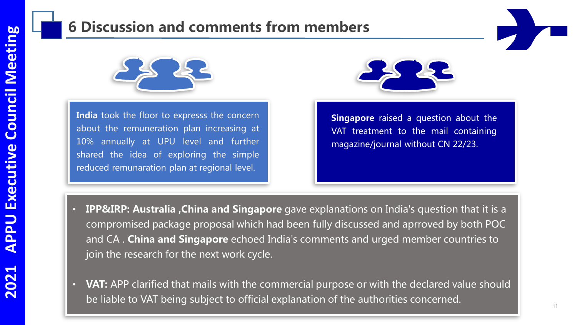#### **6 Discussion and comments from members**



**India** took the floor to expresss the concern about the remuneration plan increasing at 10% annually at UPU level and further shared the idea of exploring the simple reduced remunaration plan at regional level.



**Singapore** raised a question about the VAT treatment to the mail containing magazine/journal without CN 22/23.

- **IPP&IRP: Australia ,China and Singapore** gave explanations on India's question that it is a compromised package proposal which had been fully discussed and aprroved by both POC and CA . **China and Singapore** echoed India's comments and urged member countries to join the research for the next work cycle.
- **VAT:** APP clarified that mails with the commercial purpose or with the declared value should be liable to VAT being subject to official explanation of the authorities concerned.